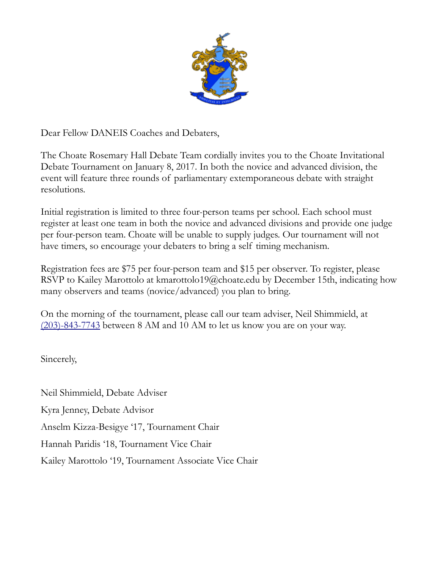

Dear Fellow DANEIS Coaches and Debaters,

The Choate Rosemary Hall Debate Team cordially invites you to the Choate Invitational Debate Tournament on January 8, 2017. In both the novice and advanced division, the event will feature three rounds of parliamentary extemporaneous debate with straight resolutions.

Initial registration is limited to three four-person teams per school. Each school must register at least one team in both the novice and advanced divisions and provide one judge per four-person team. Choate will be unable to supply judges. Our tournament will not have timers, so encourage your debaters to bring a self timing mechanism.

Registration fees are \$75 per four-person team and \$15 per observer. To register, please RSVP to Kailey Marottolo at kmarottolo19@choate.edu by December 15th, indicating how many observers and teams (novice/advanced) you plan to bring.

On the morning of the tournament, please call our team adviser, Neil Shimmield, at [\(203\)-843-7743](tel:%5C%28203%29%20843-7743) between 8 AM and 10 AM to let us know you are on your way.

Sincerely,

Neil Shimmield, Debate Adviser

Kyra Jenney, Debate Advisor

Anselm Kizza-Besigye '17, Tournament Chair

Hannah Paridis '18, Tournament Vice Chair

Kailey Marottolo '19, Tournament Associate Vice Chair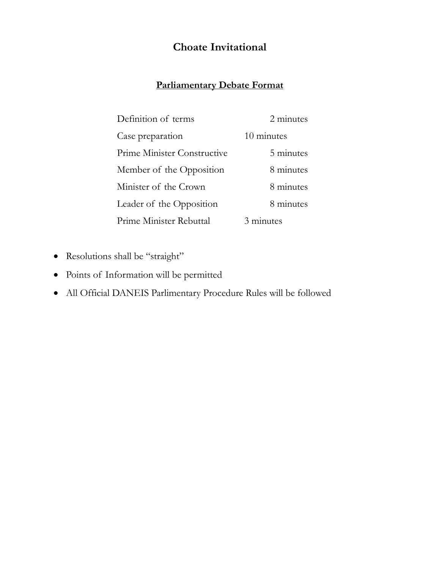## **Choate Invitational**

## **Parliamentary Debate Format**

| Definition of terms         | 2 minutes  |
|-----------------------------|------------|
| Case preparation            | 10 minutes |
| Prime Minister Constructive | 5 minutes  |
| Member of the Opposition    | 8 minutes  |
| Minister of the Crown       | 8 minutes  |
| Leader of the Opposition    | 8 minutes  |
| Prime Minister Rebuttal     | 3 minutes  |

- Resolutions shall be "straight"
- Points of Information will be permitted
- All Official DANEIS Parlimentary Procedure Rules will be followed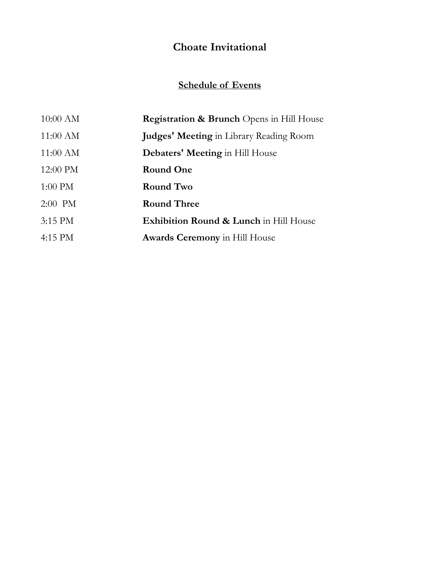# **Choate Invitational**

## **Schedule of Events**

| $10:00$ AM         | <b>Registration &amp; Brunch</b> Opens in Hill House |
|--------------------|------------------------------------------------------|
| $11:00$ AM         | <b>Judges' Meeting</b> in Library Reading Room       |
| $11:00 \text{ AM}$ | Debaters' Meeting in Hill House                      |
| $12:00$ PM         | <b>Round One</b>                                     |
| $1:00$ PM          | <b>Round Two</b>                                     |
| $2:00$ PM          | <b>Round Three</b>                                   |
| $3:15$ PM          | <b>Exhibition Round &amp; Lunch in Hill House</b>    |
| $4:15$ PM          | <b>Awards Ceremony</b> in Hill House                 |
|                    |                                                      |